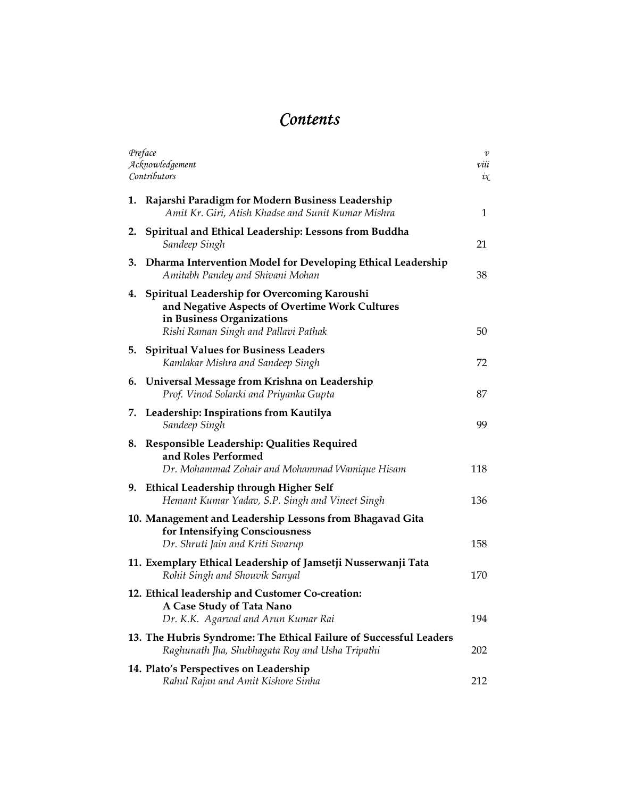## **Contents**

| Preface<br>Acknowledgement<br>Contributors                                                                                                                             | $\boldsymbol{v}$<br>viii<br>$\iota\chi$ |
|------------------------------------------------------------------------------------------------------------------------------------------------------------------------|-----------------------------------------|
| Rajarshi Paradigm for Modern Business Leadership<br>1.<br>Amit Kr. Giri, Atish Khadse and Sunit Kumar Mishra                                                           | 1                                       |
| Spiritual and Ethical Leadership: Lessons from Buddha<br>2.<br>Sandeep Singh                                                                                           | 21                                      |
| Dharma Intervention Model for Developing Ethical Leadership<br>3.<br>Amitabh Pandey and Shivani Mohan                                                                  | 38                                      |
| 4. Spiritual Leadership for Overcoming Karoushi<br>and Negative Aspects of Overtime Work Cultures<br>in Business Organizations<br>Rishi Raman Singh and Pallavi Pathak | 50                                      |
| 5. Spiritual Values for Business Leaders<br>Kamlakar Mishra and Sandeep Singh                                                                                          | 72                                      |
| 6. Universal Message from Krishna on Leadership<br>Prof. Vinod Solanki and Priyanka Gupta                                                                              | 87                                      |
| Leadership: Inspirations from Kautilya<br>7.<br>Sandeep Singh                                                                                                          | 99                                      |
| Responsible Leadership: Qualities Required<br>8.<br>and Roles Performed<br>Dr. Mohammad Zohair and Mohammad Wamique Hisam                                              | 118                                     |
| 9. Ethical Leadership through Higher Self<br>Hemant Kumar Yadav, S.P. Singh and Vineet Singh                                                                           | 136                                     |
| 10. Management and Leadership Lessons from Bhagavad Gita<br>for Intensifying Consciousness<br>Dr. Shruti Jain and Kriti Swarup                                         | 158                                     |
| 11. Exemplary Ethical Leadership of Jamsetji Nusserwanji Tata<br>Rohit Singh and Shouvik Sanyal                                                                        | 170                                     |
| 12. Ethical leadership and Customer Co-creation:<br>A Case Study of Tata Nano<br>Dr. K.K. Agarwal and Arun Kumar Rai                                                   | 194                                     |
| 13. The Hubris Syndrome: The Ethical Failure of Successful Leaders<br>Raghunath Jha, Shubhagata Roy and Usha Tripathi                                                  | 202                                     |
| 14. Plato's Perspectives on Leadership<br>Rahul Rajan and Amit Kishore Sinha                                                                                           | 212                                     |